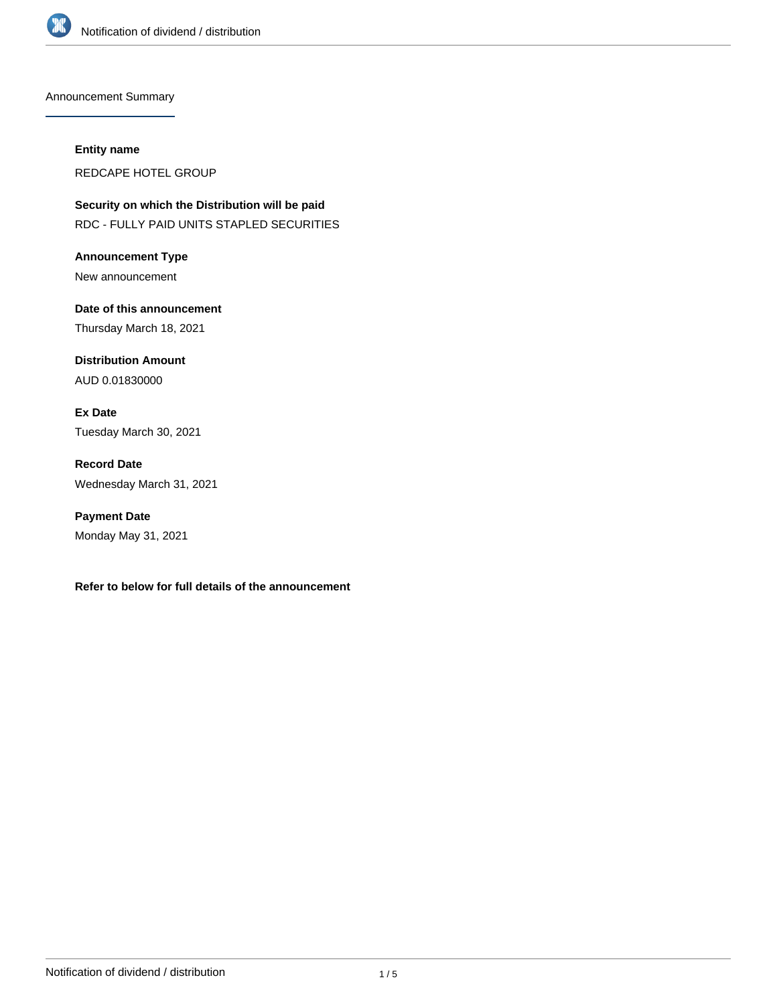

Announcement Summary

#### **Entity name**

REDCAPE HOTEL GROUP

**Security on which the Distribution will be paid** RDC - FULLY PAID UNITS STAPLED SECURITIES

**Announcement Type** New announcement

**Date of this announcement** Thursday March 18, 2021

**Distribution Amount** AUD 0.01830000

**Ex Date** Tuesday March 30, 2021

**Record Date** Wednesday March 31, 2021

**Payment Date** Monday May 31, 2021

**Refer to below for full details of the announcement**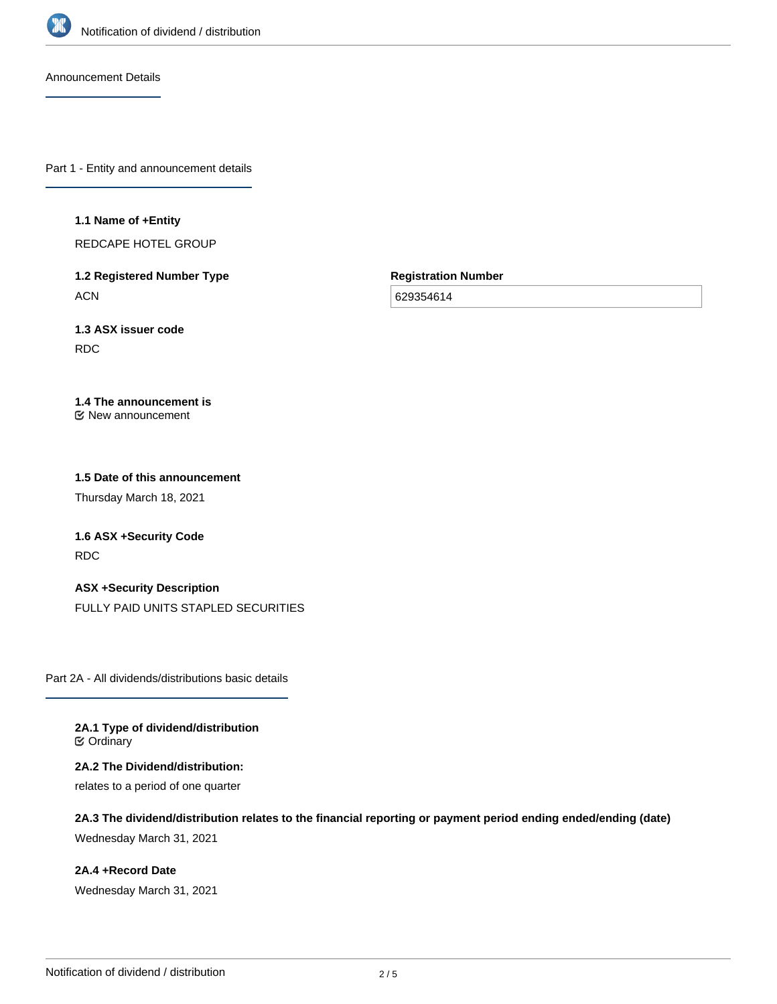

Announcement Details

Part 1 - Entity and announcement details

**1.1 Name of +Entity**

REDCAPE HOTEL GROUP

**1.2 Registered Number Type ACN** 

**Registration Number**

629354614

**1.3 ASX issuer code** RDC

#### **1.4 The announcement is** New announcement

# **1.5 Date of this announcement**

Thursday March 18, 2021

**1.6 ASX +Security Code** RDC

### **ASX +Security Description**

FULLY PAID UNITS STAPLED SECURITIES

Part 2A - All dividends/distributions basic details

**2A.1 Type of dividend/distribution ⊘** Ordinary

**2A.2 The Dividend/distribution:** relates to a period of one quarter

**2A.3 The dividend/distribution relates to the financial reporting or payment period ending ended/ending (date)** Wednesday March 31, 2021

**2A.4 +Record Date** Wednesday March 31, 2021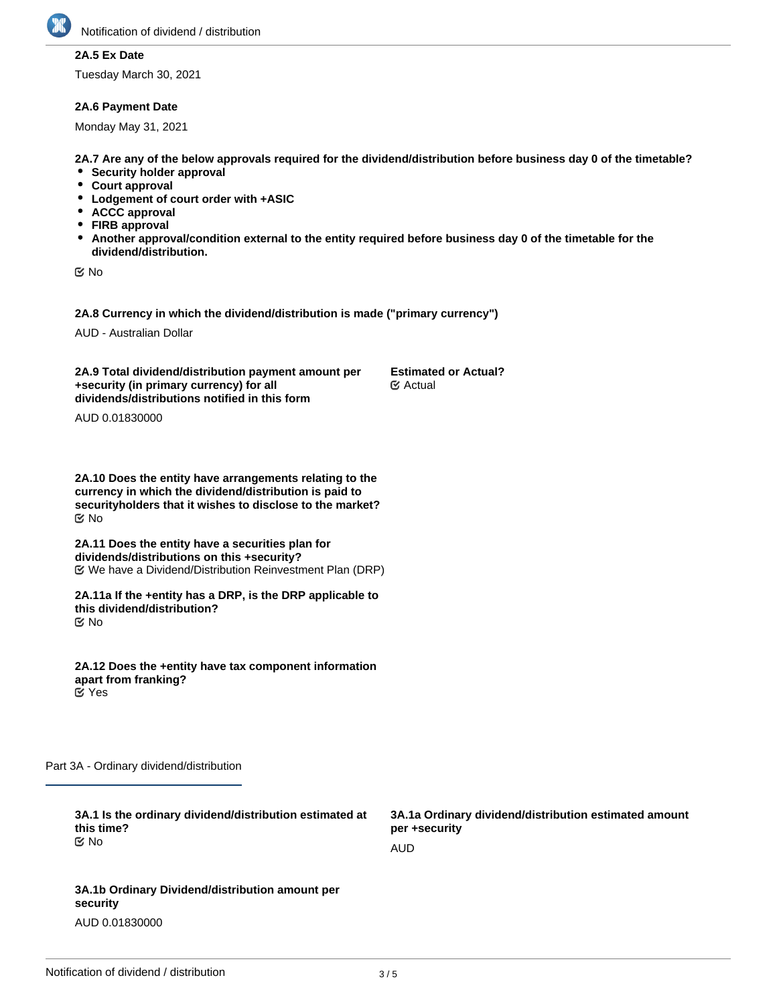

### **2A.5 Ex Date**

Tuesday March 30, 2021

#### **2A.6 Payment Date**

Monday May 31, 2021

**2A.7 Are any of the below approvals required for the dividend/distribution before business day 0 of the timetable?**

- **•** Security holder approval
- **Court approval**
- **Lodgement of court order with +ASIC**
- **ACCC approval**
- **FIRB approval**
- **Another approval/condition external to the entity required before business day 0 of the timetable for the dividend/distribution.**

No

**2A.8 Currency in which the dividend/distribution is made ("primary currency")**

AUD - Australian Dollar

**2A.9 Total dividend/distribution payment amount per +security (in primary currency) for all dividends/distributions notified in this form Estimated or Actual?** Actual

AUD 0.01830000

**2A.10 Does the entity have arrangements relating to the currency in which the dividend/distribution is paid to securityholders that it wishes to disclose to the market?** No

**2A.11 Does the entity have a securities plan for dividends/distributions on this +security?** We have a Dividend/Distribution Reinvestment Plan (DRP)

**2A.11a If the +entity has a DRP, is the DRP applicable to this dividend/distribution?** No

**2A.12 Does the +entity have tax component information apart from franking?** Yes

Part 3A - Ordinary dividend/distribution

| 3A.1 Is the ordinary dividend/distribution estimated at<br>this time? | 3A.1a Ordinary dividend/distribution estimated amount<br>per +security |
|-----------------------------------------------------------------------|------------------------------------------------------------------------|
| ় No                                                                  | AUD                                                                    |
|                                                                       |                                                                        |
| 3A.1b Ordinary Dividend/distribution amount per<br>security           |                                                                        |

AUD 0.01830000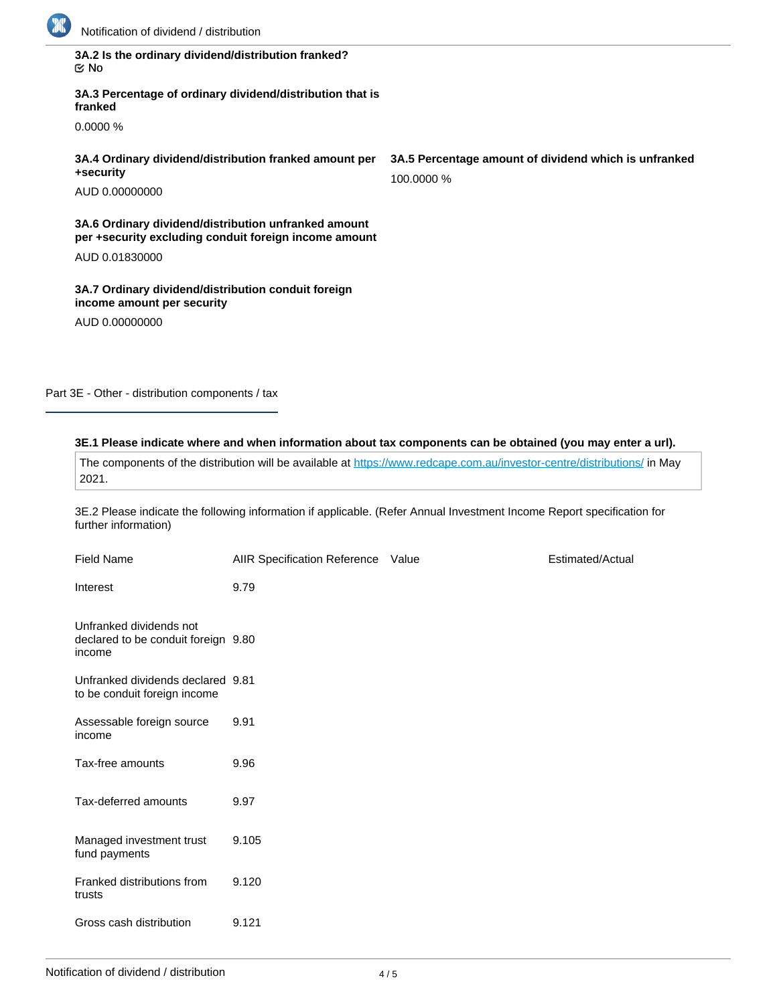

| 3A.2 Is the ordinary dividend/distribution franked? |  |
|-----------------------------------------------------|--|
| ା ⊠                                                 |  |

**3A.3 Percentage of ordinary dividend/distribution that is franked**

0.0000 %

**3A.4 Ordinary dividend/distribution franked amount per +security**

AUD 0.00000000

**3A.6 Ordinary dividend/distribution unfranked amount per +security excluding conduit foreign income amount**

AUD 0.01830000

**3A.7 Ordinary dividend/distribution conduit foreign income amount per security**

AUD 0.00000000

Part 3E - Other - distribution components / tax

### **3E.1 Please indicate where and when information about tax components can be obtained (you may enter a url).**

The components of the distribution will be available at <https://www.redcape.com.au/investor-centre/distributions/>in May 2021.

3E.2 Please indicate the following information if applicable. (Refer Annual Investment Income Report specification for further information)

| <b>Field Name</b>                                                        | AIIR Specification Reference Value | Estimated/Actual |
|--------------------------------------------------------------------------|------------------------------------|------------------|
| Interest                                                                 | 9.79                               |                  |
| Unfranked dividends not<br>declared to be conduit foreign 9.80<br>income |                                    |                  |
| Unfranked dividends declared 9.81<br>to be conduit foreign income        |                                    |                  |
| Assessable foreign source<br>income                                      | 9.91                               |                  |
| Tax-free amounts                                                         | 9.96                               |                  |
| Tax-deferred amounts                                                     | 9.97                               |                  |
| Managed investment trust<br>fund payments                                | 9.105                              |                  |
| Franked distributions from<br>trusts                                     | 9.120                              |                  |
| Gross cash distribution                                                  | 9.121                              |                  |

**3A.5 Percentage amount of dividend which is unfranked** 100.0000 %